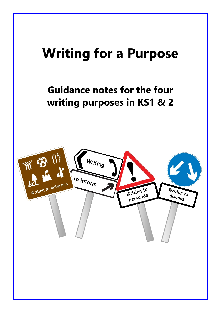# **Writing for a Purpose**

### **Guidance notes for the four writing purposes in KS1 & 2**

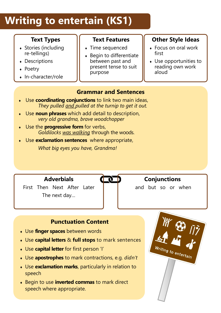## **Writing to entertain (KS1)**

### **Text Types**

- Stories (including re-tellings)
- Descriptions
- Poetry
- In-character/role

**Text Features**

- Time sequenced
- $\bullet$  Begin to differentiate between past and present tense to suit purpose

### **Other Style Ideas**

- Focus on oral work first
- Use opportunities to reading own work aloud

### **Grammar and Sentences**

- Use **coordinating conjunctions** to link two main ideas, *They pulled and pulled at the turnip to get it out.*
- Use **noun phrases** which add detail to description, *very old grandma, brave woodchopper*
- Use the **progressive form** for verbs, *Goldilocks was walking* through the woods.
- Use **exclamation sentences** where appropriate, *What big eyes you have, Grandma!*



### **Conjunctions**

and but so or when

### **Punctuation Content**

Use **finger spaces** between words

**Adverbials**

First Then Next After Later

The next day…

- Use **capital letters** & **full stops** to mark sentences
- Use **capital letter** for first person 'I'
- Use **apostrophes** to mark contractions, e.g. *didn't*
- Use **exclamation marks**, particularly in relation to speech
- Begin to use **inverted commas** to mark direct speech where appropriate.

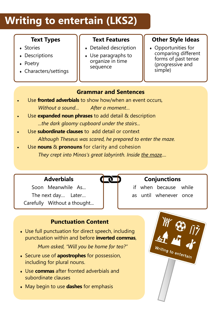## **Writing to entertain (LKS2)**

### **Text Types**

- Stories
- Descriptions
- Poetry
- Characters/settings

### **Text Features**

- Detailed description
- Use paragraphs to organize in time sequence

### **Other Style Ideas**

 Opportunities for comparing different forms of past tense (progressive and simple)

### **Grammar and Sentences**

- Use **fronted adverbials** to show how/when an event occurs*, Without a sound… After a moment…*
- Use **expanded noun phrases** to add detail & description *...the dark gloomy cupboard under the stairs...*
- Use **subordinate clauses** to add detail or context *Although Theseus was scared, he prepared to enter the maze.*
- Use **nouns** & **pronouns** for clarity and cohesion *They crept into Minos's great labyrinth. Inside the maze....*



### **Conjunctions**

if when because while as until whenever once

### **Punctuation Content**

 Use full punctuation for direct speech, including punctuation within and before **inverted commas**,

*Mum asked, "Will you be home for tea?"*

 Secure use of **apostrophes** for possession, including for plural nouns.

**Adverbials**

Soon Meanwhile As...

The next day… Later… Carefully Without a thought...

- Use **commas** after fronted adverbials and subordinate clauses
- May begin to use **dashes** for emphasis

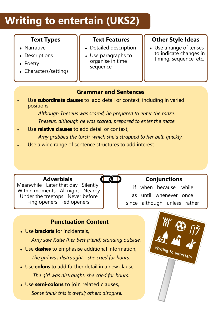## **Writing to entertain (UKS2)**

### **Text Types**

- Narrative
- Descriptions
- Poetry
- Characters/settings

### **Text Features**

- Detailed description
- Use paragraphs to organise in time sequence

### **Other Style Ideas**

 Use a range of tenses to indicate changes in timing, sequence, etc.

### **Grammar and Sentences**

 Use **subordinate clauses** to add detail or context, including in varied positions.

> *Although Theseus was scared, he prepared to enter the maze. Theseus, although he was scared, prepared to enter the maze.*

- Use **relative clauses** to add detail or context, *Amy grabbed the torch, which she'd strapped to her belt, quickly.*
- Use a wide range of sentence structures to add interest

### **Adverbials**

Meanwhile Later that day Silently Within moments All night Nearby Under the treetops Never before -ing openers -ed openers

### $\mathbf{p}$

### **Conjunctions**

if when because while as until whenever once since although unless rather

### **Punctuation Content**

Use **brackets** for incidentals,

*Amy saw Katie (her best friend) standing outside.*

- Use **dashes** to emphasise additional information,  *The girl was distraught - she cried for hours.*
- Use **colons** to add further detail in a new clause,  *The girl was distraught: she cried for hours.*
- Use **semi-colons** to join related clauses,  *Some think this is awful; others disagree.*

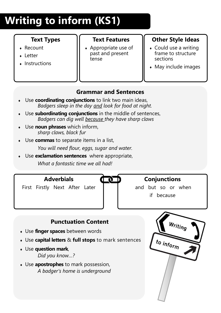# **Writing to inform (KS1)**

### **Text Types**

- Recount
- Letter
- $\cdot$  Instructions

### **Text Features**

 Appropriate use of past and present tense

### **Other Style Ideas**

- Could use a writing frame to structure sections
- $\bullet$  May include images

### **Grammar and Sentences**

- Use **coordinating conjunctions** to link two main ideas, *Badgers sleep in the day and look for food at night.*
- Use **subordinating conjunctions** in the middle of sentences, *Badgers can dig well because they have sharp claws*
- Use **noun phrases** which inform, *sharp claws, black fur*
- Use **commas** to separate items in a list,

*You will need flour, eggs, sugar and water.*

 Use **exclamation sentences** where appropriate, *What a fantastic time we all had!*

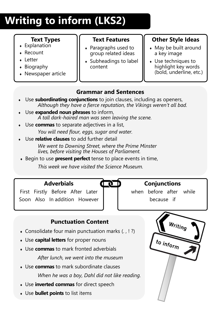# **Writing to inform (LKS2)**

### **Text Types**

- Explanation
- Recount
- Letter
- Biography
- Newspaper article

### **Text Features**

- Paragraphs used to group related ideas
- Subheadings to label content

### **Other Style Ideas**

- May be built around a key image
- Use techniques to highlight key words (bold, underline, etc.)

### **Grammar and Sentences**

- Use **subordinating conjunctions** to join clauses, including as openers, *Although they have a fierce reputation, the Vikings weren't all bad.*
- Use **expanded noun phrases** to inform, *A tall dark-haired man was seen leaving the scene.*
- Use **commas** to separate adjectives in a list, *You will need flour, eggs, sugar and water.*
- Use **relative clauses** to add further detail *We went to Downing Street, where the Prime Minster lives, before visiting the Houses of Parliament.*
- ◆ Begin to use **present perfect** tense to place events in time,

*This week we have visited the Science Museum.*



"



First Firstly Before After Later Soon Also In addition However when before after while because if

### **Punctuation Content**

- $\bullet$  Consolidate four main punctuation marks (., !?)
- Use **capital letters** for proper nouns
- Use **commas** to mark fronted adverbials *After lunch, we went into the museum*
- Use **commas** to mark subordinate clauses *When he was a boy, Dahl did not like reading.*
- Use **inverted commas** for direct speech
- Use **bullet points** to list items

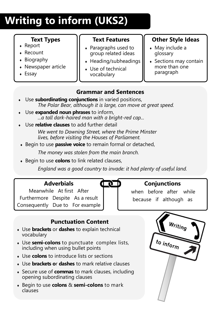# **Writing to inform (UKS2)**

### **Text Types**

- Report
- Recount
- Biography
- Newspaper article
- Essay

**Text Features**

- Paragraphs used to group related ideas
- $\bullet$  Heading/subheadings
- Use of technical vocabulary

### **Other Style Ideas**

- May include a glossary
- Sections may contain more than one paragraph

### **Grammar and Sentences**

- Use **subordinating conjunctions** in varied positions, *The Polar Bear, although it is large, can move at great speed.*
- Use **expanded noun phrases** to inform, *...a tall dark-haired man with a bright-red cap...*
	- Use **relative clauses** to add further detail *We went to Downing Street, where the Prime Minster lives, before visiting the Houses of Parliament.*
- Begin to use **passive voice** to remain formal or detached,

*The money was stolen from the main branch.*

Begin to use **colons** to link related clauses,

*England was a good country to invade: it had plenty of useful land.*

U.



Meanwhile At first After Furthermore Despite As a result Consequently Due to For example

### **Conjunctions**

when before after while because if although as

### **Punctuation Content**

- Use **brackets** or **dashes** to explain technical vocabulary
- Use **semi-colons** to punctuate complex lists, including when using bullet points
- Use **colons** to introduce lists or sections
- Use **brackets o**r **dashes** to mark relative clauses
- Secure use of **commas** to mark clauses, including opening subordinating clauses
- Begin to use **colons** & **semi-colons** to mark clauses

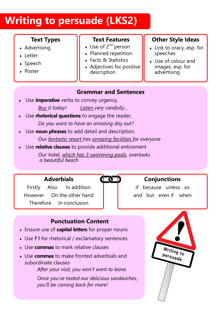## **Writing to persuade (LKS2)**

### **Text Types**

- **Advertising**
- Letter
- Speech
- Poster

#### **Text Features**

- $\bullet$  Use of 2<sup>nd</sup> person
- Planned repetition
- ◆ Facts & Statistics
- Adjectives for positive description

### **Other Style Ideas**

- Link to oracy, esp. for speeches
- Use of colour and images, esp. for advertising

#### **Grammar and Sentences**

- Use **imperative** verbs to convey urgency, *Buy it today! Listen very carefully....*
- Use **rhetorical questions** to engage the reader, *Do you want to have an amazing day out?*
- Use **noun phrases** to add detail and description, *Our fantastic resort has amazing facilities for everyone*
- Use **relative clauses** to provide additional enticement *Our hotel, which has 3 swimming pools, overlooks a beautiful beach*



### **Conjunctions**

if because unless so and but even if when

### **Adverbials**

Firstly Also In addition However On the other hand Therefore In conclusion

### **Punctuation Content**

- Ensure use of **capital letters** for proper nouns
- Use **? !** for rhetorical / exclamatory sentences
- Use **commas** to mark relative clauses
- Use **commas** to make fronted adverbials and subordinate clauses

*After your visit, you won't want to leave.*

*Once you've tasted our delicious sandwiches, you'll be coming back for more!*

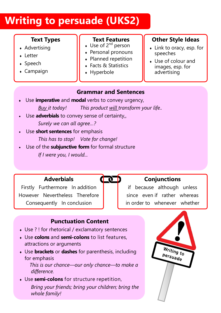## **Writing to persuade (UKS2)**

### **Text Types**

- **Advertising**
- Letter
- Speech
- Campaign

### **Text Features**

- $\bullet$  Use of 2<sup>nd</sup> person
- Personal pronouns
- Planned repetition
- ◆ Facts & Statistics
- Hyperbole

### **Other Style Ideas**

- Link to oracy, esp. for speeches
- Use of colour and images, esp. for advertising

### **Grammar and Sentences**

**QUE** 

- Use **imperative** and **modal** verbs to convey urgency, *Buy it today! This product will transform your life..*
- Use **adverbials** to convey sense of certainty,, *Surely we can all agree…?*
- Use **short sentences** for emphasis *This has to stop! Vote for change!*
- Use of the **subjunctive form** for formal structure *If I were you, I would...*

### **Adverbials**

Firstly Furthermore In addition However Nevertheless Therefore Consequently In conclusion

### **Conjunctions**

if because although unless since even if rather whereas in order to whenever whether

### **Punctuation Content**

- Use ? ! for rhetorical / exclamatory sentences
- Use **colons** and **semi-colons** to list features, attractions or arguments
- Use **brackets** or **dashes** for parenthesis, including for emphasis

 *This is our chance—our only chance—to make a difference.*

 Use **semi-colons** for structure repetition, *Bring your friends; bring your children; bring the whole family!*